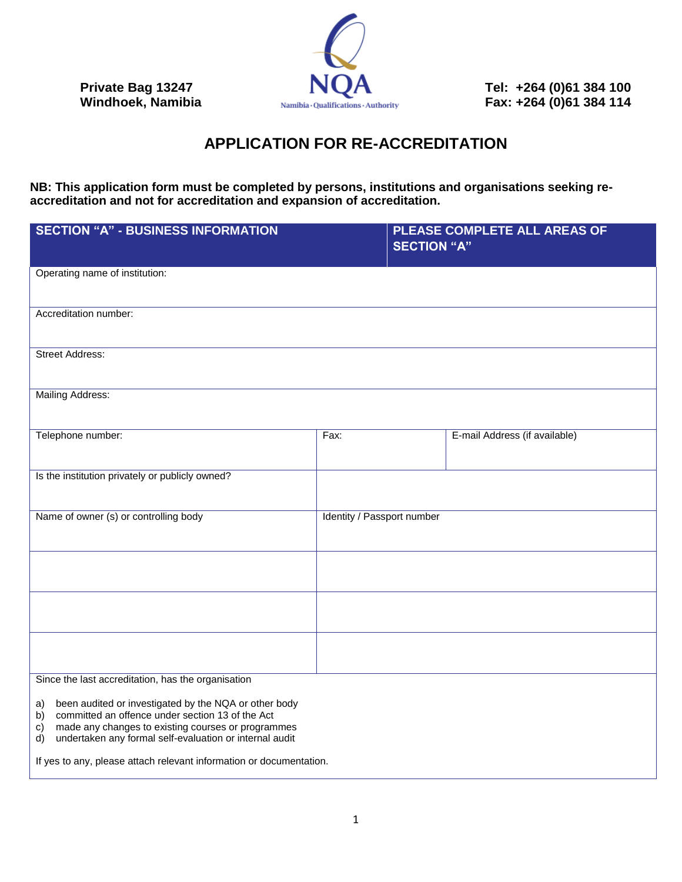

**Private Bag 13247 NUA** Tel: +264 (0)61 384 100<br>
Windhoek, Namibia **Numibia** Qualifications Authority **Fax: +264 (0)61 384 114 Fax:** +264 (0)61 384 114

## **APPLICATION FOR RE-ACCREDITATION**

**NB: This application form must be completed by persons, institutions and organisations seeking reaccreditation and not for accreditation and expansion of accreditation.**

| <b>SECTION "A" - BUSINESS INFORMATION</b>                                                                                                                                                                                                                                                                                                                                       |                            | <b>SECTION "A"</b> | PLEASE COMPLETE ALL AREAS OF  |
|---------------------------------------------------------------------------------------------------------------------------------------------------------------------------------------------------------------------------------------------------------------------------------------------------------------------------------------------------------------------------------|----------------------------|--------------------|-------------------------------|
| Operating name of institution:                                                                                                                                                                                                                                                                                                                                                  |                            |                    |                               |
| Accreditation number:                                                                                                                                                                                                                                                                                                                                                           |                            |                    |                               |
| <b>Street Address:</b>                                                                                                                                                                                                                                                                                                                                                          |                            |                    |                               |
| Mailing Address:                                                                                                                                                                                                                                                                                                                                                                |                            |                    |                               |
| Telephone number:                                                                                                                                                                                                                                                                                                                                                               | Fax:                       |                    | E-mail Address (if available) |
| Is the institution privately or publicly owned?                                                                                                                                                                                                                                                                                                                                 |                            |                    |                               |
| Name of owner (s) or controlling body                                                                                                                                                                                                                                                                                                                                           | Identity / Passport number |                    |                               |
|                                                                                                                                                                                                                                                                                                                                                                                 |                            |                    |                               |
|                                                                                                                                                                                                                                                                                                                                                                                 |                            |                    |                               |
|                                                                                                                                                                                                                                                                                                                                                                                 |                            |                    |                               |
| Since the last accreditation, has the organisation<br>been audited or investigated by the NQA or other body<br>a)<br>committed an offence under section 13 of the Act<br>b)<br>made any changes to existing courses or programmes<br>c)<br>undertaken any formal self-evaluation or internal audit<br>d)<br>If yes to any, please attach relevant information or documentation. |                            |                    |                               |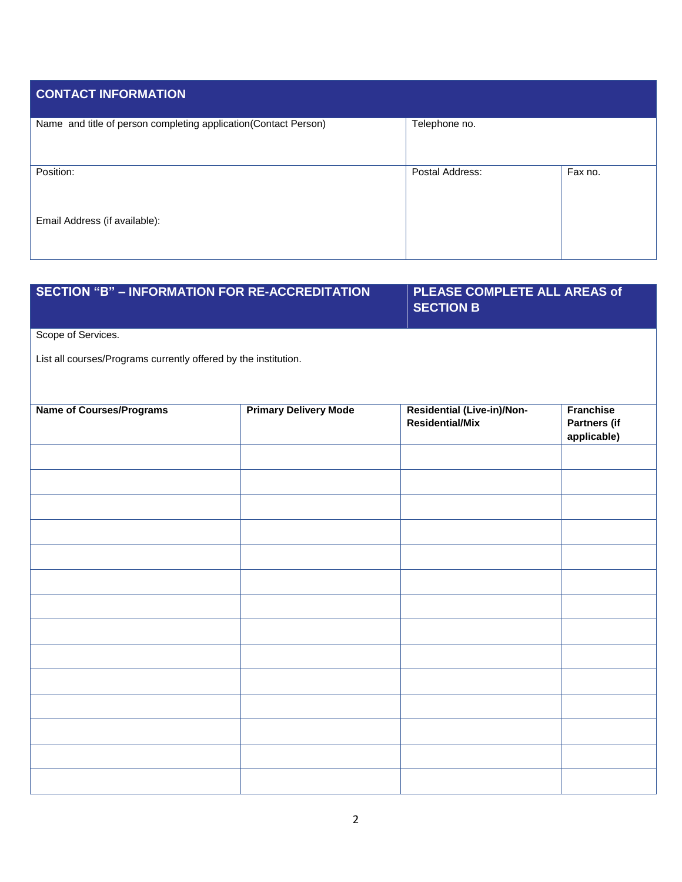| <b>CONTACT INFORMATION</b>                                      |                 |         |
|-----------------------------------------------------------------|-----------------|---------|
| Name and title of person completing application(Contact Person) | Telephone no.   |         |
| Position:                                                       | Postal Address: | Fax no. |
| Email Address (if available):                                   |                 |         |

| <b>SECTION "B" - INFORMATION FOR RE-ACCREDITATION</b>           |                              | PLEASE COMPLETE ALL AREAS of<br><b>SECTION B</b>     |                                                 |
|-----------------------------------------------------------------|------------------------------|------------------------------------------------------|-------------------------------------------------|
| Scope of Services.                                              |                              |                                                      |                                                 |
| List all courses/Programs currently offered by the institution. |                              |                                                      |                                                 |
| <b>Name of Courses/Programs</b>                                 | <b>Primary Delivery Mode</b> | Residential (Live-in)/Non-<br><b>Residential/Mix</b> | <b>Franchise</b><br>Partners (if<br>applicable) |
|                                                                 |                              |                                                      |                                                 |
|                                                                 |                              |                                                      |                                                 |
|                                                                 |                              |                                                      |                                                 |
|                                                                 |                              |                                                      |                                                 |
|                                                                 |                              |                                                      |                                                 |
|                                                                 |                              |                                                      |                                                 |
|                                                                 |                              |                                                      |                                                 |
|                                                                 |                              |                                                      |                                                 |
|                                                                 |                              |                                                      |                                                 |
|                                                                 |                              |                                                      |                                                 |
|                                                                 |                              |                                                      |                                                 |
|                                                                 |                              |                                                      |                                                 |
|                                                                 |                              |                                                      |                                                 |